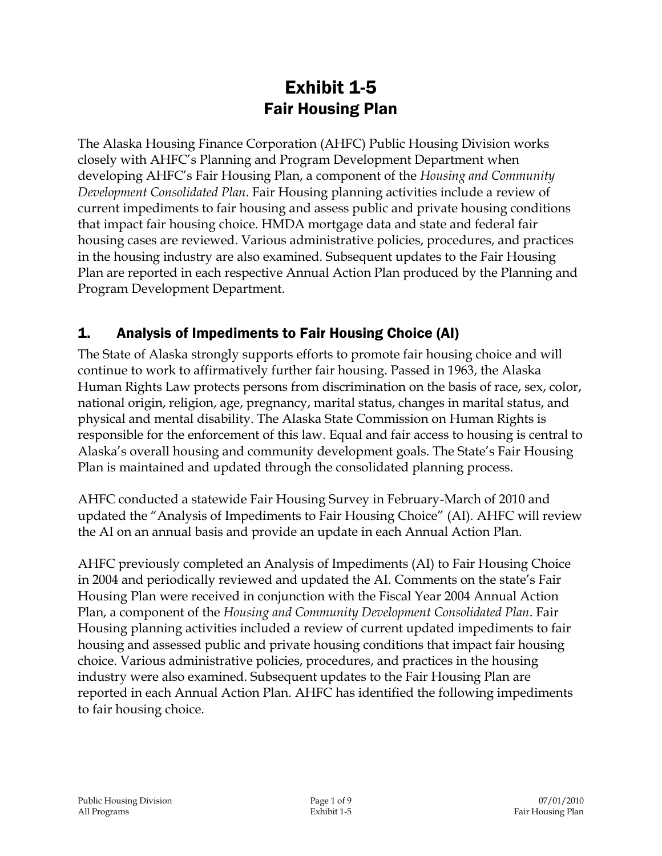# Exhibit 1-5 Fair Housing Plan

The Alaska Housing Finance Corporation (AHFC) Public Housing Division works closely with AHFC's Planning and Program Development Department when developing AHFC's Fair Housing Plan, a component of the *Housing and Community Development Consolidated Plan*. Fair Housing planning activities include a review of current impediments to fair housing and assess public and private housing conditions that impact fair housing choice. HMDA mortgage data and state and federal fair housing cases are reviewed. Various administrative policies, procedures, and practices in the housing industry are also examined. Subsequent updates to the Fair Housing Plan are reported in each respective Annual Action Plan produced by the Planning and Program Development Department.

## 1. Analysis of Impediments to Fair Housing Choice (AI)

The State of Alaska strongly supports efforts to promote fair housing choice and will continue to work to affirmatively further fair housing. Passed in 1963, the Alaska Human Rights Law protects persons from discrimination on the basis of race, sex, color, national origin, religion, age, pregnancy, marital status, changes in marital status, and physical and mental disability. The Alaska State Commission on Human Rights is responsible for the enforcement of this law. Equal and fair access to housing is central to Alaska's overall housing and community development goals. The State's Fair Housing Plan is maintained and updated through the consolidated planning process.

AHFC conducted a statewide Fair Housing Survey in February-March of 2010 and updated the "Analysis of Impediments to Fair Housing Choice" (AI). AHFC will review the AI on an annual basis and provide an update in each Annual Action Plan.

AHFC previously completed an Analysis of Impediments (AI) to Fair Housing Choice in 2004 and periodically reviewed and updated the AI. Comments on the state's Fair Housing Plan were received in conjunction with the Fiscal Year 2004 Annual Action Plan, a component of the *Housing and Community Development Consolidated Plan*. Fair Housing planning activities included a review of current updated impediments to fair housing and assessed public and private housing conditions that impact fair housing choice. Various administrative policies, procedures, and practices in the housing industry were also examined. Subsequent updates to the Fair Housing Plan are reported in each Annual Action Plan. AHFC has identified the following impediments to fair housing choice.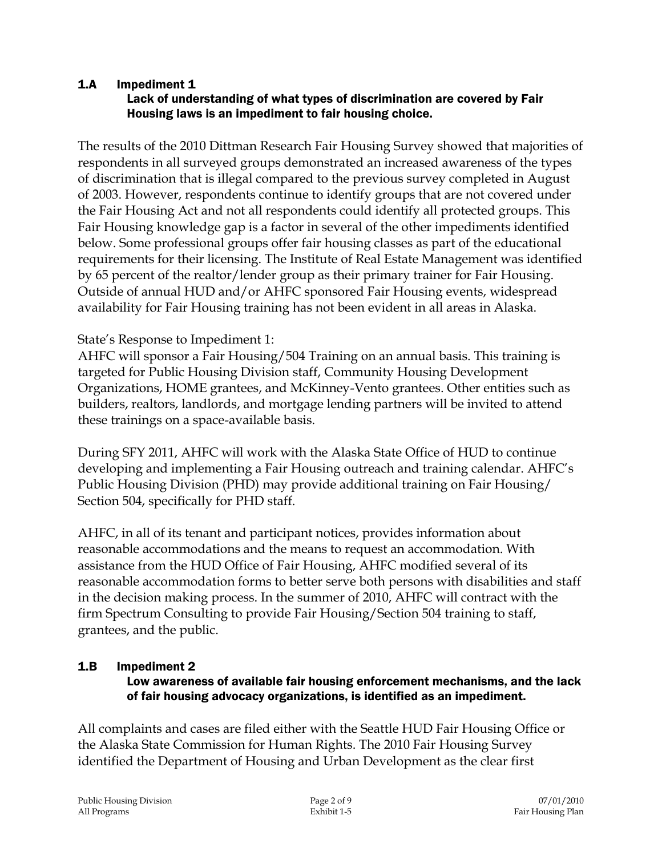#### 1.A Impediment 1 Lack of understanding of what types of discrimination are covered by Fair Housing laws is an impediment to fair housing choice.

The results of the 2010 Dittman Research Fair Housing Survey showed that majorities of respondents in all surveyed groups demonstrated an increased awareness of the types of discrimination that is illegal compared to the previous survey completed in August of 2003. However, respondents continue to identify groups that are not covered under the Fair Housing Act and not all respondents could identify all protected groups. This Fair Housing knowledge gap is a factor in several of the other impediments identified below. Some professional groups offer fair housing classes as part of the educational requirements for their licensing. The Institute of Real Estate Management was identified by 65 percent of the realtor/lender group as their primary trainer for Fair Housing. Outside of annual HUD and/or AHFC sponsored Fair Housing events, widespread availability for Fair Housing training has not been evident in all areas in Alaska.

### State's Response to Impediment 1:

AHFC will sponsor a Fair Housing/504 Training on an annual basis. This training is targeted for Public Housing Division staff, Community Housing Development Organizations, HOME grantees, and McKinney-Vento grantees. Other entities such as builders, realtors, landlords, and mortgage lending partners will be invited to attend these trainings on a space-available basis.

During SFY 2011, AHFC will work with the Alaska State Office of HUD to continue developing and implementing a Fair Housing outreach and training calendar. AHFC's Public Housing Division (PHD) may provide additional training on Fair Housing/ Section 504, specifically for PHD staff.

AHFC, in all of its tenant and participant notices, provides information about reasonable accommodations and the means to request an accommodation. With assistance from the HUD Office of Fair Housing, AHFC modified several of its reasonable accommodation forms to better serve both persons with disabilities and staff in the decision making process. In the summer of 2010, AHFC will contract with the firm Spectrum Consulting to provide Fair Housing/Section 504 training to staff, grantees, and the public.

### 1.B Impediment 2

#### Low awareness of available fair housing enforcement mechanisms, and the lack of fair housing advocacy organizations, is identified as an impediment.

All complaints and cases are filed either with the Seattle HUD Fair Housing Office or the Alaska State Commission for Human Rights. The 2010 Fair Housing Survey identified the Department of Housing and Urban Development as the clear first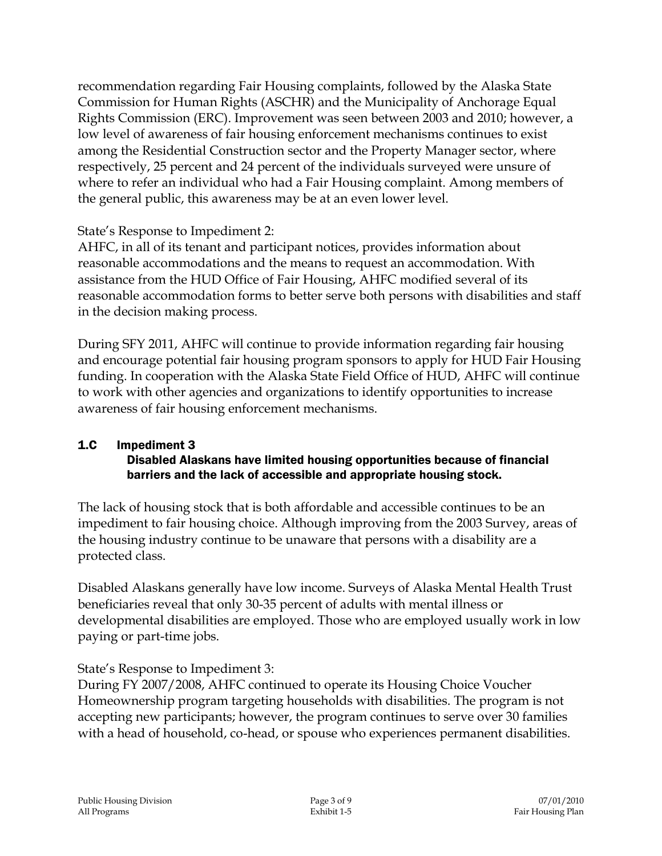recommendation regarding Fair Housing complaints, followed by the Alaska State Commission for Human Rights (ASCHR) and the Municipality of Anchorage Equal Rights Commission (ERC). Improvement was seen between 2003 and 2010; however, a low level of awareness of fair housing enforcement mechanisms continues to exist among the Residential Construction sector and the Property Manager sector, where respectively, 25 percent and 24 percent of the individuals surveyed were unsure of where to refer an individual who had a Fair Housing complaint. Among members of the general public, this awareness may be at an even lower level.

State's Response to Impediment 2:

AHFC, in all of its tenant and participant notices, provides information about reasonable accommodations and the means to request an accommodation. With assistance from the HUD Office of Fair Housing, AHFC modified several of its reasonable accommodation forms to better serve both persons with disabilities and staff in the decision making process.

During SFY 2011, AHFC will continue to provide information regarding fair housing and encourage potential fair housing program sponsors to apply for HUD Fair Housing funding. In cooperation with the Alaska State Field Office of HUD, AHFC will continue to work with other agencies and organizations to identify opportunities to increase awareness of fair housing enforcement mechanisms.

#### 1.C Impediment 3 Disabled Alaskans have limited housing opportunities because of financial barriers and the lack of accessible and appropriate housing stock.

The lack of housing stock that is both affordable and accessible continues to be an impediment to fair housing choice. Although improving from the 2003 Survey, areas of the housing industry continue to be unaware that persons with a disability are a protected class.

Disabled Alaskans generally have low income. Surveys of Alaska Mental Health Trust beneficiaries reveal that only 30-35 percent of adults with mental illness or developmental disabilities are employed. Those who are employed usually work in low paying or part-time jobs.

State's Response to Impediment 3:

During FY 2007/2008, AHFC continued to operate its Housing Choice Voucher Homeownership program targeting households with disabilities. The program is not accepting new participants; however, the program continues to serve over 30 families with a head of household, co-head, or spouse who experiences permanent disabilities.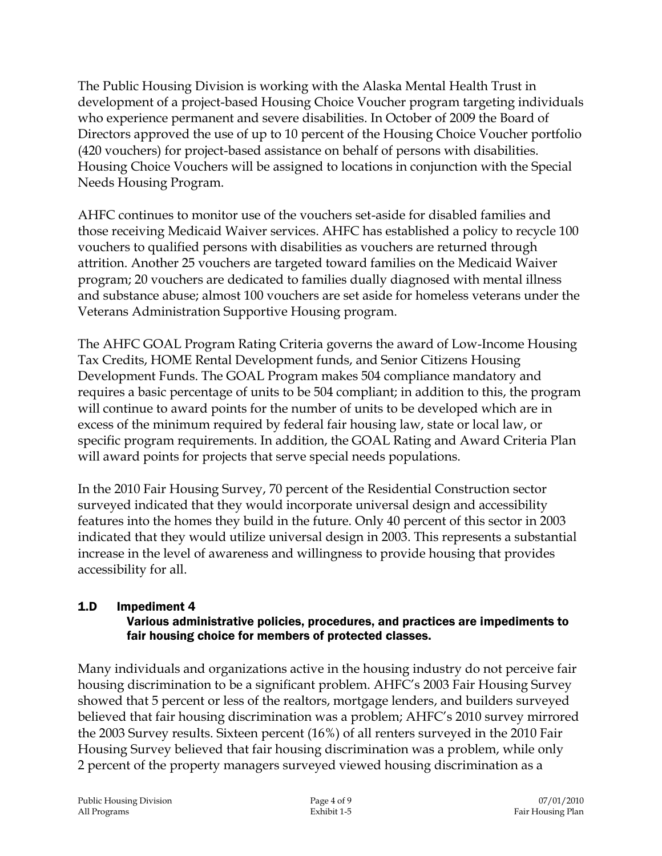The Public Housing Division is working with the Alaska Mental Health Trust in development of a project-based Housing Choice Voucher program targeting individuals who experience permanent and severe disabilities. In October of 2009 the Board of Directors approved the use of up to 10 percent of the Housing Choice Voucher portfolio (420 vouchers) for project-based assistance on behalf of persons with disabilities. Housing Choice Vouchers will be assigned to locations in conjunction with the Special Needs Housing Program.

AHFC continues to monitor use of the vouchers set-aside for disabled families and those receiving Medicaid Waiver services. AHFC has established a policy to recycle 100 vouchers to qualified persons with disabilities as vouchers are returned through attrition. Another 25 vouchers are targeted toward families on the Medicaid Waiver program; 20 vouchers are dedicated to families dually diagnosed with mental illness and substance abuse; almost 100 vouchers are set aside for homeless veterans under the Veterans Administration Supportive Housing program.

The AHFC GOAL Program Rating Criteria governs the award of Low-Income Housing Tax Credits, HOME Rental Development funds, and Senior Citizens Housing Development Funds. The GOAL Program makes 504 compliance mandatory and requires a basic percentage of units to be 504 compliant; in addition to this, the program will continue to award points for the number of units to be developed which are in excess of the minimum required by federal fair housing law, state or local law, or specific program requirements. In addition, the GOAL Rating and Award Criteria Plan will award points for projects that serve special needs populations.

In the 2010 Fair Housing Survey, 70 percent of the Residential Construction sector surveyed indicated that they would incorporate universal design and accessibility features into the homes they build in the future. Only 40 percent of this sector in 2003 indicated that they would utilize universal design in 2003. This represents a substantial increase in the level of awareness and willingness to provide housing that provides accessibility for all.

#### 1.D Impediment 4 Various administrative policies, procedures, and practices are impediments to fair housing choice for members of protected classes.

Many individuals and organizations active in the housing industry do not perceive fair housing discrimination to be a significant problem. AHFC's 2003 Fair Housing Survey showed that 5 percent or less of the realtors, mortgage lenders, and builders surveyed believed that fair housing discrimination was a problem; AHFC's 2010 survey mirrored the 2003 Survey results. Sixteen percent (16%) of all renters surveyed in the 2010 Fair Housing Survey believed that fair housing discrimination was a problem, while only 2 percent of the property managers surveyed viewed housing discrimination as a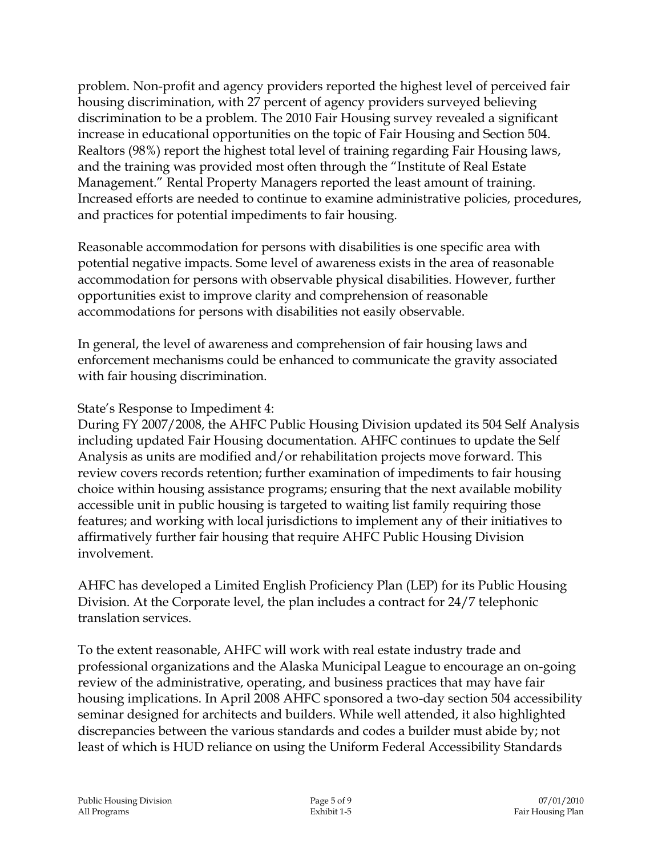problem. Non-profit and agency providers reported the highest level of perceived fair housing discrimination, with 27 percent of agency providers surveyed believing discrimination to be a problem. The 2010 Fair Housing survey revealed a significant increase in educational opportunities on the topic of Fair Housing and Section 504. Realtors (98%) report the highest total level of training regarding Fair Housing laws, and the training was provided most often through the "Institute of Real Estate Management." Rental Property Managers reported the least amount of training. Increased efforts are needed to continue to examine administrative policies, procedures, and practices for potential impediments to fair housing.

Reasonable accommodation for persons with disabilities is one specific area with potential negative impacts. Some level of awareness exists in the area of reasonable accommodation for persons with observable physical disabilities. However, further opportunities exist to improve clarity and comprehension of reasonable accommodations for persons with disabilities not easily observable.

In general, the level of awareness and comprehension of fair housing laws and enforcement mechanisms could be enhanced to communicate the gravity associated with fair housing discrimination.

State's Response to Impediment 4:

During FY 2007/2008, the AHFC Public Housing Division updated its 504 Self Analysis including updated Fair Housing documentation. AHFC continues to update the Self Analysis as units are modified and/or rehabilitation projects move forward. This review covers records retention; further examination of impediments to fair housing choice within housing assistance programs; ensuring that the next available mobility accessible unit in public housing is targeted to waiting list family requiring those features; and working with local jurisdictions to implement any of their initiatives to affirmatively further fair housing that require AHFC Public Housing Division involvement.

AHFC has developed a Limited English Proficiency Plan (LEP) for its Public Housing Division. At the Corporate level, the plan includes a contract for 24/7 telephonic translation services.

To the extent reasonable, AHFC will work with real estate industry trade and professional organizations and the Alaska Municipal League to encourage an on-going review of the administrative, operating, and business practices that may have fair housing implications. In April 2008 AHFC sponsored a two-day section 504 accessibility seminar designed for architects and builders. While well attended, it also highlighted discrepancies between the various standards and codes a builder must abide by; not least of which is HUD reliance on using the Uniform Federal Accessibility Standards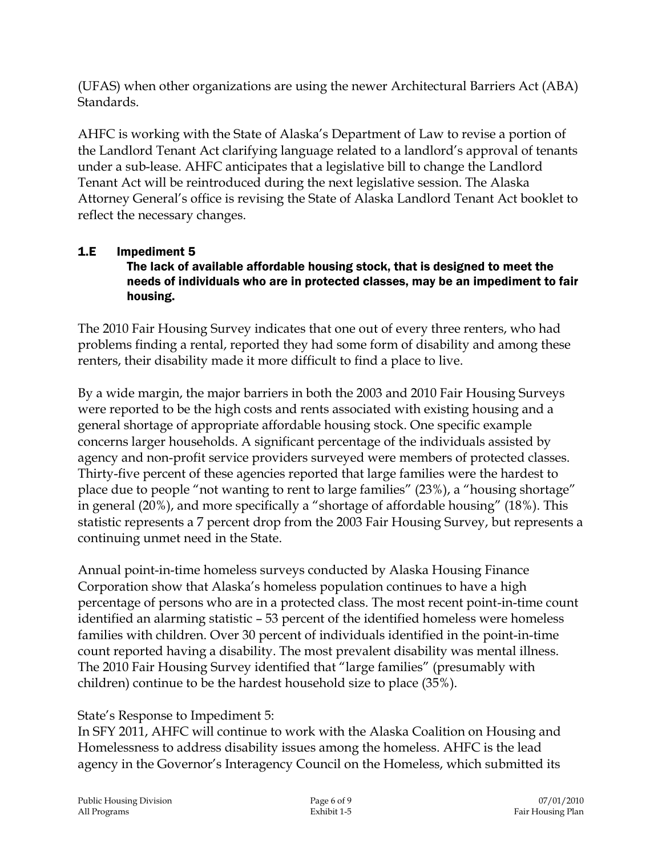(UFAS) when other organizations are using the newer Architectural Barriers Act (ABA) Standards.

AHFC is working with the State of Alaska's Department of Law to revise a portion of the Landlord Tenant Act clarifying language related to a landlord's approval of tenants under a sub-lease. AHFC anticipates that a legislative bill to change the Landlord Tenant Act will be reintroduced during the next legislative session. The Alaska Attorney General's office is revising the State of Alaska Landlord Tenant Act booklet to reflect the necessary changes.

# 1.E Impediment 5

#### The lack of available affordable housing stock, that is designed to meet the needs of individuals who are in protected classes, may be an impediment to fair housing.

The 2010 Fair Housing Survey indicates that one out of every three renters, who had problems finding a rental, reported they had some form of disability and among these renters, their disability made it more difficult to find a place to live.

By a wide margin, the major barriers in both the 2003 and 2010 Fair Housing Surveys were reported to be the high costs and rents associated with existing housing and a general shortage of appropriate affordable housing stock. One specific example concerns larger households. A significant percentage of the individuals assisted by agency and non-profit service providers surveyed were members of protected classes. Thirty-five percent of these agencies reported that large families were the hardest to place due to people "not wanting to rent to large families" (23%), a "housing shortage" in general (20%), and more specifically a "shortage of affordable housing" (18%). This statistic represents a 7 percent drop from the 2003 Fair Housing Survey, but represents a continuing unmet need in the State.

Annual point-in-time homeless surveys conducted by Alaska Housing Finance Corporation show that Alaska's homeless population continues to have a high percentage of persons who are in a protected class. The most recent point-in-time count identified an alarming statistic – 53 percent of the identified homeless were homeless families with children. Over 30 percent of individuals identified in the point-in-time count reported having a disability. The most prevalent disability was mental illness. The 2010 Fair Housing Survey identified that "large families" (presumably with children) continue to be the hardest household size to place (35%).

State's Response to Impediment 5:

In SFY 2011, AHFC will continue to work with the Alaska Coalition on Housing and Homelessness to address disability issues among the homeless. AHFC is the lead agency in the Governor's Interagency Council on the Homeless, which submitted its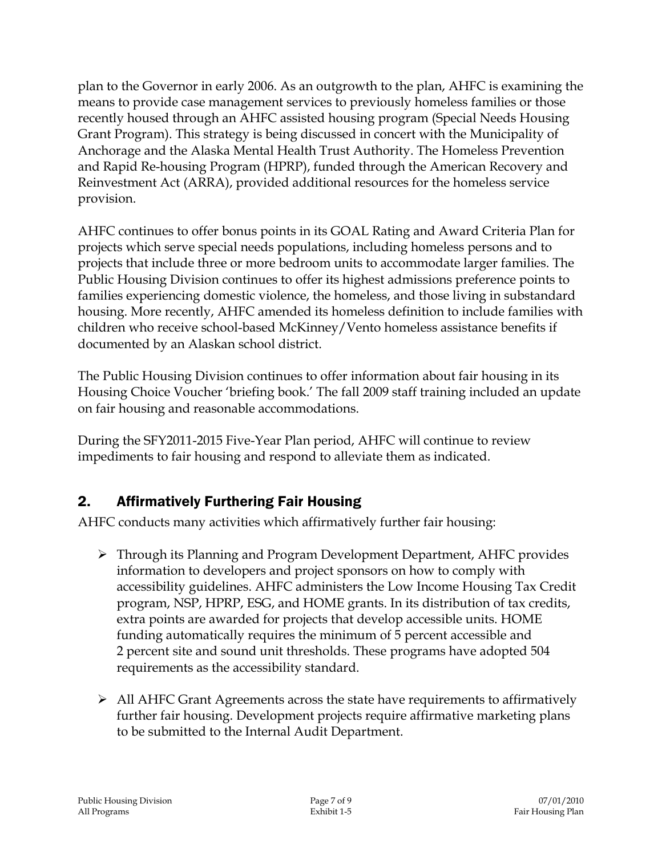plan to the Governor in early 2006. As an outgrowth to the plan, AHFC is examining the means to provide case management services to previously homeless families or those recently housed through an AHFC assisted housing program (Special Needs Housing Grant Program). This strategy is being discussed in concert with the Municipality of Anchorage and the Alaska Mental Health Trust Authority. The Homeless Prevention and Rapid Re-housing Program (HPRP), funded through the American Recovery and Reinvestment Act (ARRA), provided additional resources for the homeless service provision.

AHFC continues to offer bonus points in its GOAL Rating and Award Criteria Plan for projects which serve special needs populations, including homeless persons and to projects that include three or more bedroom units to accommodate larger families. The Public Housing Division continues to offer its highest admissions preference points to families experiencing domestic violence, the homeless, and those living in substandard housing. More recently, AHFC amended its homeless definition to include families with children who receive school-based McKinney/Vento homeless assistance benefits if documented by an Alaskan school district.

The Public Housing Division continues to offer information about fair housing in its Housing Choice Voucher 'briefing book.' The fall 2009 staff training included an update on fair housing and reasonable accommodations.

During the SFY2011-2015 Five-Year Plan period, AHFC will continue to review impediments to fair housing and respond to alleviate them as indicated.

## 2. Affirmatively Furthering Fair Housing

AHFC conducts many activities which affirmatively further fair housing:

- Through its Planning and Program Development Department, AHFC provides information to developers and project sponsors on how to comply with accessibility guidelines. AHFC administers the Low Income Housing Tax Credit program, NSP, HPRP, ESG, and HOME grants. In its distribution of tax credits, extra points are awarded for projects that develop accessible units. HOME funding automatically requires the minimum of 5 percent accessible and 2 percent site and sound unit thresholds. These programs have adopted 504 requirements as the accessibility standard.
- $\triangleright$  All AHFC Grant Agreements across the state have requirements to affirmatively further fair housing. Development projects require affirmative marketing plans to be submitted to the Internal Audit Department.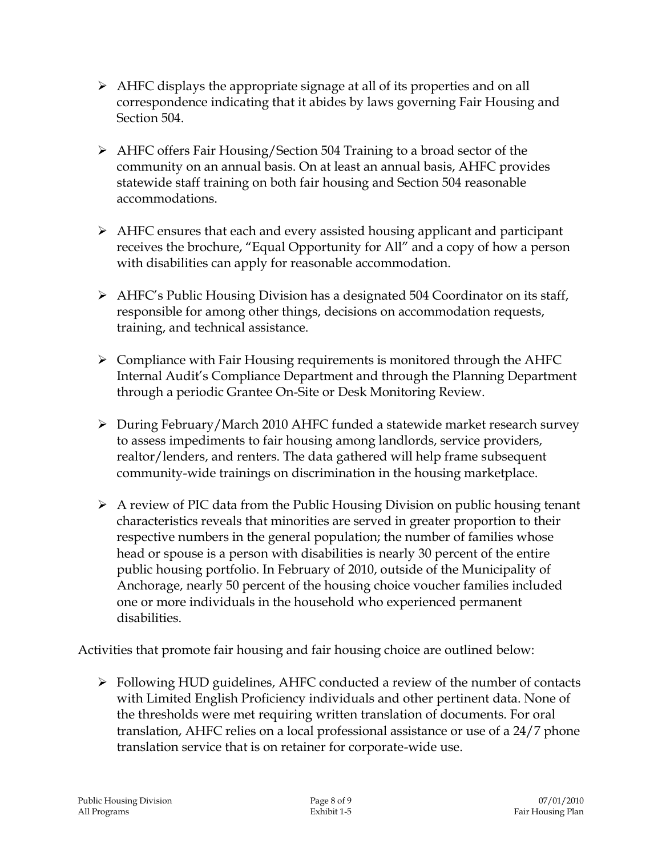- $\triangleright$  AHFC displays the appropriate signage at all of its properties and on all correspondence indicating that it abides by laws governing Fair Housing and Section 504.
- AHFC offers Fair Housing/Section 504 Training to a broad sector of the community on an annual basis. On at least an annual basis, AHFC provides statewide staff training on both fair housing and Section 504 reasonable accommodations.
- AHFC ensures that each and every assisted housing applicant and participant receives the brochure, "Equal Opportunity for All" and a copy of how a person with disabilities can apply for reasonable accommodation.
- $\triangleright$  AHFC's Public Housing Division has a designated 504 Coordinator on its staff, responsible for among other things, decisions on accommodation requests, training, and technical assistance.
- $\triangleright$  Compliance with Fair Housing requirements is monitored through the AHFC Internal Audit's Compliance Department and through the Planning Department through a periodic Grantee On-Site or Desk Monitoring Review.
- During February/March 2010 AHFC funded a statewide market research survey to assess impediments to fair housing among landlords, service providers, realtor/lenders, and renters. The data gathered will help frame subsequent community-wide trainings on discrimination in the housing marketplace.
- $\triangleright$  A review of PIC data from the Public Housing Division on public housing tenant characteristics reveals that minorities are served in greater proportion to their respective numbers in the general population; the number of families whose head or spouse is a person with disabilities is nearly 30 percent of the entire public housing portfolio. In February of 2010, outside of the Municipality of Anchorage, nearly 50 percent of the housing choice voucher families included one or more individuals in the household who experienced permanent disabilities.

Activities that promote fair housing and fair housing choice are outlined below:

 Following HUD guidelines, AHFC conducted a review of the number of contacts with Limited English Proficiency individuals and other pertinent data. None of the thresholds were met requiring written translation of documents. For oral translation, AHFC relies on a local professional assistance or use of a 24/7 phone translation service that is on retainer for corporate-wide use.